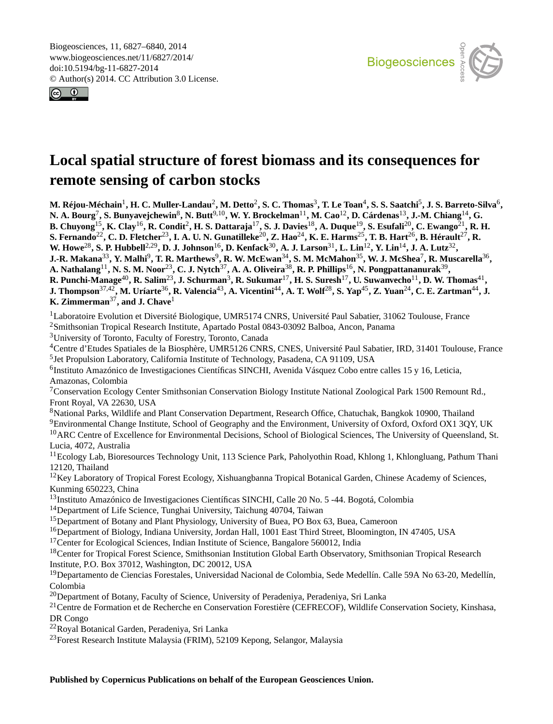<span id="page-0-1"></span>Biogeosciences, 11, 6827–6840, 2014 www.biogeosciences.net/11/6827/2014/ doi:10.5194/bg-11-6827-2014 © Author(s) 2014. CC Attribution 3.0 License.





# **Local spatial structure of forest biomass and its consequences for remote sensing of carbon stocks**

M. Réjou-Méchain<sup>[1](#page-0-0)</sup>, H. C. Muller-Landau<sup>[2](#page-0-0)</sup>, M. Detto<sup>2</sup>, S. C. Thomas<sup>[3](#page-0-0)</sup>, T. Le Toan<sup>[4](#page-0-0)</sup>, S. S. Saatchi<sup>[5](#page-0-0)</sup>, J. S. Barreto-Silva<sup>[6](#page-0-0)</sup>, **N. A. Bourg**[7](#page-0-0) **, S. Bunyavejchewin**[8](#page-0-0) **, N. Butt**[9,10](#page-0-0)**, W. Y. Brockelman**[11](#page-0-0)**, M. Cao**[12](#page-0-0)**, D. Cárdenas**[13](#page-0-0)**, J.-M. Chiang**[14](#page-0-0)**, G. B. Chuyong**[15](#page-0-0)**, K. Clay**[16](#page-0-0)**, R. Condit**[2](#page-0-0) **, H. S. Dattaraja**[17](#page-0-0)**, S. J. Davies**[18](#page-0-0)**, A. Duque**[19](#page-0-0)**, S. Esufali**[20](#page-0-0)**, C. Ewango**[21](#page-0-0)**, R. H. S. Fernando**[22](#page-0-0)**, C. D. Fletcher**[23](#page-0-0)**, I. A. U. N. Gunatilleke**[20](#page-0-0)**, Z. Hao**[24](#page-0-0)**, K. E. Harms**[25](#page-0-0)**, T. B. Hart**[26](#page-0-0)**, B. Hérault**[27](#page-0-0)**, R. W. Howe**[28](#page-0-0)**, S. P. Hubbell**[2,29](#page-0-0)**, D. J. Johnson**[16](#page-0-0)**, D. Kenfack**[30](#page-0-0)**, A. J. Larson**[31](#page-0-0)**, L. Lin**[12](#page-0-0)**, Y. Lin**[14](#page-0-0)**, J. A. Lutz**[32](#page-0-0) **,**  $J.-R.$  Makana $^{33},$  $^{33},$  $^{33},$  Y. Malhi $^9,$  $^9,$  $^9,$  T. R. Marthews $^9,$  R. W. McEwan $^{34},$  $^{34},$  $^{34},$  S. M. McMahon $^{35},$  $^{35},$  $^{35},$  W. J. McShea $^7,$  $^7,$  $^7,$  R. Muscarella $^{36},$  $^{36},$  $^{36},$ **A. Nathalang**[11](#page-0-0)**, N. S. M. Noor**[23](#page-0-0)**, C. J. Nytch**[37](#page-0-0)**, A. A. Oliveira**[38](#page-0-0)**, R. P. Phillips**[16](#page-0-0)**, N. Pongpattananurak**[39](#page-0-0) **, R. Punchi-Manage**[40](#page-0-0)**, R. Salim**[23](#page-0-0)**, J. Schurman**[3](#page-0-0) **, R. Sukumar**[17](#page-0-0)**, H. S. Suresh**[17](#page-0-0)**, U. Suwanvecho**[11](#page-0-0)**, D. W. Thomas**[41](#page-0-0) **, J. Thompson**[37,42](#page-0-0)**, M. Uríarte**[36](#page-0-0)**, R. Valencia**[43](#page-0-0)**, A. Vicentini**[44](#page-0-0)**, A. T. Wolf**[28](#page-0-0)**, S. Yap**[45](#page-0-0)**, Z. Yuan**[24](#page-0-0)**, C. E. Zartman**[44](#page-0-0)**, J. K. Zimmerman**[37](#page-0-0)**, and J. Chave**[1](#page-0-0) <sup>1</sup>Laboratoire Evolution et Diversité Biologique, UMR5174 CNRS, Université Paul Sabatier, 31062 Toulouse, France <sup>2</sup>Smithsonian Tropical Research Institute, Apartado Postal 0843-03092 Balboa, Ancon, Panama

<sup>3</sup>University of Toronto, Faculty of Forestry, Toronto, Canada

<sup>4</sup>Centre d'Etudes Spatiales de la Biosphère, UMR5126 CNRS, CNES, Université Paul Sabatier, IRD, 31401 Toulouse, France <sup>5</sup> Jet Propulsion Laboratory, California Institute of Technology, Pasadena, CA 91109, USA

<sup>6</sup>Instituto Amazónico de Investigaciones Científicas SINCHI, Avenida Vásquez Cobo entre calles 15 y 16, Leticia, Amazonas, Colombia

<sup>7</sup>Conservation Ecology Center Smithsonian Conservation Biology Institute National Zoological Park 1500 Remount Rd., Front Royal, VA 22630, USA

<sup>8</sup>National Parks, Wildlife and Plant Conservation Department, Research Office, Chatuchak, Bangkok 10900, Thailand

<sup>9</sup>Environmental Change Institute, School of Geography and the Environment, University of Oxford, Oxford OX1 3QY, UK

<sup>10</sup>ARC Centre of Excellence for Environmental Decisions, School of Biological Sciences, The University of Queensland, St. Lucia, 4072, Australia

<sup>11</sup>Ecology Lab, Bioresources Technology Unit, 113 Science Park, Paholyothin Road, Khlong 1, Khlongluang, Pathum Thani 12120, Thailand

 $12$ Key Laboratory of Tropical Forest Ecology, Xishuangbanna Tropical Botanical Garden, Chinese Academy of Sciences, Kunming 650223, China

<sup>13</sup>Instituto Amazónico de Investigaciones Científicas SINCHI, Calle 20 No. 5 -44. Bogotá, Colombia

<sup>14</sup>Department of Life Science, Tunghai University, Taichung 40704, Taiwan

<sup>15</sup>Department of Botany and Plant Physiology, University of Buea, PO Box 63, Buea, Cameroon

<sup>16</sup>Department of Biology, Indiana University, Jordan Hall, 1001 East Third Street, Bloomington, IN 47405, USA

<sup>17</sup>Center for Ecological Sciences, Indian Institute of Science, Bangalore 560012, India

<sup>18</sup>Center for Tropical Forest Science, Smithsonian Institution Global Earth Observatory, Smithsonian Tropical Research Institute, P.O. Box 37012, Washington, DC 20012, USA

<sup>19</sup>Departamento de Ciencias Forestales, Universidad Nacional de Colombia, Sede Medellín. Calle 59A No 63-20, Medellín, Colombia

<sup>20</sup>Department of Botany, Faculty of Science, University of Peradeniya, Peradeniya, Sri Lanka

<span id="page-0-0"></span><sup>21</sup>Centre de Formation et de Recherche en Conservation Forestière (CEFRECOF), Wildlife Conservation Society, Kinshasa, DR Congo

<sup>22</sup>Royal Botanical Garden, Peradeniya, Sri Lanka

<sup>23</sup>Forest Research Institute Malaysia (FRIM), 52109 Kepong, Selangor, Malaysia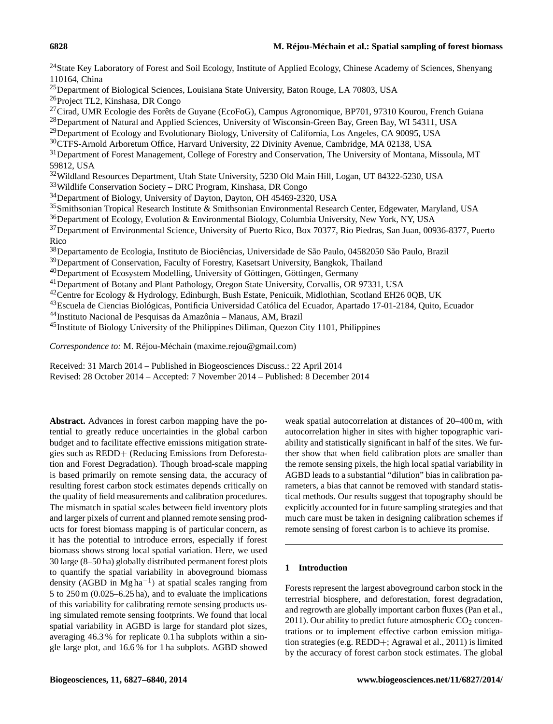<sup>24</sup>State Key Laboratory of Forest and Soil Ecology, Institute of Applied Ecology, Chinese Academy of Sciences, Shenyang 110164, China

<sup>25</sup>Department of Biological Sciences, Louisiana State University, Baton Rouge, LA 70803, USA

<sup>26</sup>Project TL2, Kinshasa, DR Congo

<sup>27</sup>Cirad, UMR Ecologie des Forêts de Guyane (EcoFoG), Campus Agronomique, BP701, 97310 Kourou, French Guiana

<sup>28</sup>Department of Natural and Applied Sciences, University of Wisconsin-Green Bay, Green Bay, WI 54311, USA

<sup>29</sup>Department of Ecology and Evolutionary Biology, University of California, Los Angeles, CA 90095, USA

<sup>30</sup>CTFS-Arnold Arboretum Office, Harvard University, 22 Divinity Avenue, Cambridge, MA 02138, USA

<sup>31</sup>Department of Forest Management, College of Forestry and Conservation, The University of Montana, Missoula, MT 59812, USA

<sup>32</sup>Wildland Resources Department, Utah State University, 5230 Old Main Hill, Logan, UT 84322-5230, USA

<sup>33</sup>Wildlife Conservation Society – DRC Program, Kinshasa, DR Congo

<sup>34</sup>Department of Biology, University of Dayton, Dayton, OH 45469-2320, USA

<sup>35</sup>Smithsonian Tropical Research Institute & Smithsonian Environmental Research Center, Edgewater, Maryland, USA

 $36D$ epartment of Ecology, Evolution & Environmental Biology, Columbia University, New York, NY, USA

<sup>37</sup>Department of Environmental Science, University of Puerto Rico, Box 70377, Rio Piedras, San Juan, 00936-8377, Puerto Rico

<sup>38</sup>Departamento de Ecologia, Instituto de Biociências, Universidade de São Paulo, 04582050 São Paulo, Brazil

<sup>39</sup>Department of Conservation, Faculty of Forestry, Kasetsart University, Bangkok, Thailand

<sup>40</sup>Department of Ecosystem Modelling, University of Göttingen, Göttingen, Germany

<sup>41</sup>Department of Botany and Plant Pathology, Oregon State University, Corvallis, OR 97331, USA

<sup>42</sup>Centre for Ecology & Hydrology, Edinburgh, Bush Estate, Penicuik, Midlothian, Scotland EH26 0QB, UK

<sup>43</sup>Escuela de Ciencias Biológicas, Pontificia Universidad Católica del Ecuador, Apartado 17-01-2184, Quito, Ecuador

<sup>44</sup>Instituto Nacional de Pesquisas da Amazônia – Manaus, AM, Brazil

<sup>45</sup>Institute of Biology University of the Philippines Diliman, Quezon City 1101, Philippines

*Correspondence to:* M. Réjou-Méchain (maxime.rejou@gmail.com)

Received: 31 March 2014 – Published in Biogeosciences Discuss.: 22 April 2014 Revised: 28 October 2014 – Accepted: 7 November 2014 – Published: 8 December 2014

**Abstract.** Advances in forest carbon mapping have the potential to greatly reduce uncertainties in the global carbon budget and to facilitate effective emissions mitigation strategies such as REDD+ (Reducing Emissions from Deforestation and Forest Degradation). Though broad-scale mapping is based primarily on remote sensing data, the accuracy of resulting forest carbon stock estimates depends critically on the quality of field measurements and calibration procedures. The mismatch in spatial scales between field inventory plots and larger pixels of current and planned remote sensing products for forest biomass mapping is of particular concern, as it has the potential to introduce errors, especially if forest biomass shows strong local spatial variation. Here, we used 30 large (8–50 ha) globally distributed permanent forest plots to quantify the spatial variability in aboveground biomass density (AGBD in Mg ha−<sup>1</sup> ) at spatial scales ranging from 5 to 250 m (0.025–6.25 ha), and to evaluate the implications of this variability for calibrating remote sensing products using simulated remote sensing footprints. We found that local spatial variability in AGBD is large for standard plot sizes, averaging 46.3 % for replicate 0.1 ha subplots within a single large plot, and 16.6 % for 1 ha subplots. AGBD showed

weak spatial autocorrelation at distances of 20–400 m, with autocorrelation higher in sites with higher topographic variability and statistically significant in half of the sites. We further show that when field calibration plots are smaller than the remote sensing pixels, the high local spatial variability in AGBD leads to a substantial "dilution" bias in calibration parameters, a bias that cannot be removed with standard statistical methods. Our results suggest that topography should be explicitly accounted for in future sampling strategies and that much care must be taken in designing calibration schemes if remote sensing of forest carbon is to achieve its promise.

# **1 Introduction**

Forests represent the largest aboveground carbon stock in the terrestrial biosphere, and deforestation, forest degradation, and regrowth are globally important carbon fluxes (Pan et al., 2011). Our ability to predict future atmospheric  $CO<sub>2</sub>$  concentrations or to implement effective carbon emission mitigation strategies (e.g. REDD+; Agrawal et al., 2011) is limited by the accuracy of forest carbon stock estimates. The global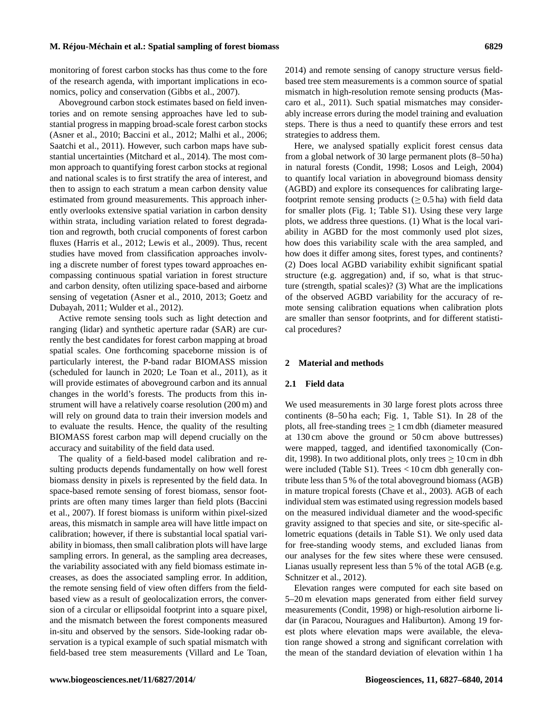monitoring of forest carbon stocks has thus come to the fore of the research agenda, with important implications in economics, policy and conservation (Gibbs et al., 2007).

Aboveground carbon stock estimates based on field inventories and on remote sensing approaches have led to substantial progress in mapping broad-scale forest carbon stocks (Asner et al., 2010; Baccini et al., 2012; Malhi et al., 2006; Saatchi et al., 2011). However, such carbon maps have substantial uncertainties (Mitchard et al., 2014). The most common approach to quantifying forest carbon stocks at regional and national scales is to first stratify the area of interest, and then to assign to each stratum a mean carbon density value estimated from ground measurements. This approach inherently overlooks extensive spatial variation in carbon density within strata, including variation related to forest degradation and regrowth, both crucial components of forest carbon fluxes (Harris et al., 2012; Lewis et al., 2009). Thus, recent studies have moved from classification approaches involving a discrete number of forest types toward approaches encompassing continuous spatial variation in forest structure and carbon density, often utilizing space-based and airborne sensing of vegetation (Asner et al., 2010, 2013; Goetz and Dubayah, 2011; Wulder et al., 2012).

Active remote sensing tools such as light detection and ranging (lidar) and synthetic aperture radar (SAR) are currently the best candidates for forest carbon mapping at broad spatial scales. One forthcoming spaceborne mission is of particularly interest, the P-band radar BIOMASS mission (scheduled for launch in 2020; Le Toan et al., 2011), as it will provide estimates of aboveground carbon and its annual changes in the world's forests. The products from this instrument will have a relatively coarse resolution (200 m) and will rely on ground data to train their inversion models and to evaluate the results. Hence, the quality of the resulting BIOMASS forest carbon map will depend crucially on the accuracy and suitability of the field data used.

The quality of a field-based model calibration and resulting products depends fundamentally on how well forest biomass density in pixels is represented by the field data. In space-based remote sensing of forest biomass, sensor footprints are often many times larger than field plots (Baccini et al., 2007). If forest biomass is uniform within pixel-sized areas, this mismatch in sample area will have little impact on calibration; however, if there is substantial local spatial variability in biomass, then small calibration plots will have large sampling errors. In general, as the sampling area decreases, the variability associated with any field biomass estimate increases, as does the associated sampling error. In addition, the remote sensing field of view often differs from the fieldbased view as a result of geolocalization errors, the conversion of a circular or ellipsoidal footprint into a square pixel, and the mismatch between the forest components measured in-situ and observed by the sensors. Side-looking radar observation is a typical example of such spatial mismatch with field-based tree stem measurements (Villard and Le Toan, 2014) and remote sensing of canopy structure versus fieldbased tree stem measurements is a common source of spatial mismatch in high-resolution remote sensing products (Mascaro et al., 2011). Such spatial mismatches may considerably increase errors during the model training and evaluation steps. There is thus a need to quantify these errors and test strategies to address them.

Here, we analysed spatially explicit forest census data from a global network of 30 large permanent plots (8–50 ha) in natural forests (Condit, 1998; Losos and Leigh, 2004) to quantify local variation in aboveground biomass density (AGBD) and explore its consequences for calibrating largefootprint remote sensing products ( $\geq 0.5$  ha) with field data for smaller plots (Fig. 1; Table S1). Using these very large plots, we address three questions. (1) What is the local variability in AGBD for the most commonly used plot sizes, how does this variability scale with the area sampled, and how does it differ among sites, forest types, and continents? (2) Does local AGBD variability exhibit significant spatial structure (e.g. aggregation) and, if so, what is that structure (strength, spatial scales)? (3) What are the implications of the observed AGBD variability for the accuracy of remote sensing calibration equations when calibration plots are smaller than sensor footprints, and for different statistical procedures?

#### **2 Material and methods**

#### **2.1 Field data**

We used measurements in 30 large forest plots across three continents (8–50 ha each; Fig. 1, Table S1). In 28 of the plots, all free-standing trees  $\geq 1$  cm dbh (diameter measured at 130 cm above the ground or 50 cm above buttresses) were mapped, tagged, and identified taxonomically (Condit, 1998). In two additional plots, only trees  $\geq 10$  cm in dbh were included (Table S1). Trees  $< 10$  cm dbh generally contribute less than 5 % of the total aboveground biomass (AGB) in mature tropical forests (Chave et al., 2003). AGB of each individual stem was estimated using regression models based on the measured individual diameter and the wood-specific gravity assigned to that species and site, or site-specific allometric equations (details in Table S1). We only used data for free-standing woody stems, and excluded lianas from our analyses for the few sites where these were censused. Lianas usually represent less than 5 % of the total AGB (e.g. Schnitzer et al., 2012).

Elevation ranges were computed for each site based on 5–20 m elevation maps generated from either field survey measurements (Condit, 1998) or high-resolution airborne lidar (in Paracou, Nouragues and Haliburton). Among 19 forest plots where elevation maps were available, the elevation range showed a strong and significant correlation with the mean of the standard deviation of elevation within 1 ha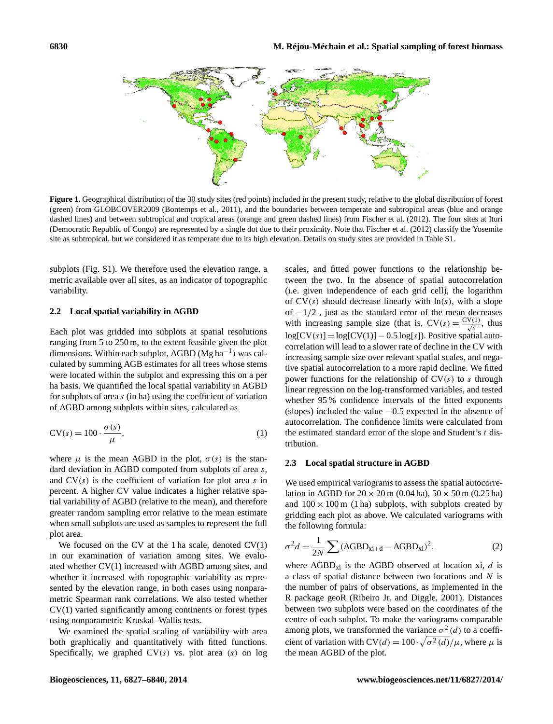

**Figure 1.** Geographical distribution of the 30 study sites (red points) included in the present study, relative to the global distribution of forest (green) from GLOBCOVER2009 (Bontemps et al., 2011), and the boundaries between temperate and subtropical areas (blue and orange dashed lines) and between subtropical and tropical areas (orange and green dashed lines) from Fischer et al. (2012). The four sites at Ituri (Democratic Republic of Congo) are represented by a single dot due to their proximity. Note that Fischer et al. (2012) classify the Yosemite site as subtropical, but we considered it as temperate due to its high elevation. Details on study sites are provided in Table S1.

subplots (Fig. S1). We therefore used the elevation range, a metric available over all sites, as an indicator of topographic variability.

#### **2.2 Local spatial variability in AGBD**

Each plot was gridded into subplots at spatial resolutions ranging from 5 to 250 m, to the extent feasible given the plot dimensions. Within each subplot, AGBD (Mg ha−<sup>1</sup> ) was calculated by summing AGB estimates for all trees whose stems were located within the subplot and expressing this on a per ha basis. We quantified the local spatial variability in AGBD for subplots of area s (in ha) using the coefficient of variation of AGBD among subplots within sites, calculated as

$$
CV(s) = 100 \cdot \frac{\sigma(s)}{\mu},\tag{1}
$$

where  $\mu$  is the mean AGBD in the plot,  $\sigma(s)$  is the standard deviation in AGBD computed from subplots of area s, and  $CV(s)$  is the coefficient of variation for plot area s in percent. A higher CV value indicates a higher relative spatial variability of AGBD (relative to the mean), and therefore greater random sampling error relative to the mean estimate when small subplots are used as samples to represent the full plot area.

We focused on the CV at the 1 ha scale, denoted  $CV(1)$ in our examination of variation among sites. We evaluated whether CV(1) increased with AGBD among sites, and whether it increased with topographic variability as represented by the elevation range, in both cases using nonparametric Spearman rank correlations. We also tested whether CV(1) varied significantly among continents or forest types using nonparametric Kruskal–Wallis tests.

We examined the spatial scaling of variability with area both graphically and quantitatively with fitted functions. Specifically, we graphed  $CV(s)$  vs. plot area (s) on log scales, and fitted power functions to the relationship between the two. In the absence of spatial autocorrelation (i.e. given independence of each grid cell), the logarithm of  $CV(s)$  should decrease linearly with  $ln(s)$ , with a slope of −1/2 , just as the standard error of the mean decreases with increasing sample size (that is,  $CV(s) = \frac{CV(1)}{\sqrt{s}}$ , thus  $log[CV(s)] = log[CV(1)] - 0.5 log[s]$ ). Positive spatial autocorrelation will lead to a slower rate of decline in the CV with increasing sample size over relevant spatial scales, and negative spatial autocorrelation to a more rapid decline. We fitted power functions for the relationship of  $CV(s)$  to s through linear regression on the log-transformed variables, and tested whether 95 % confidence intervals of the fitted exponents (slopes) included the value −0.5 expected in the absence of autocorrelation. The confidence limits were calculated from the estimated standard error of the slope and Student's t distribution.

#### **2.3 Local spatial structure in AGBD**

We used empirical variograms to assess the spatial autocorrelation in AGBD for  $20 \times 20$  m (0.04 ha),  $50 \times 50$  m (0.25 ha) and  $100 \times 100$  m (1 ha) subplots, with subplots created by gridding each plot as above. We calculated variograms with the following formula:

$$
\sigma^2 d = \frac{1}{2N} \sum (\text{AGBD}_{\text{xi}+d} - \text{AGBD}_{\text{xi}})^2,\tag{2}
$$

where  $AGBD_{xi}$  is the AGBD observed at location xi, d is a class of spatial distance between two locations and  $N$  is the number of pairs of observations, as implemented in the R package geoR (Ribeiro Jr. and Diggle, 2001). Distances between two subplots were based on the coordinates of the centre of each subplot. To make the variograms comparable among plots, we transformed the variance  $\sigma^2(d)$  to a coefficient of variation with  $CV(d) = 100 \cdot \sqrt{\sigma^2(d)} / \mu$ , where  $\mu$  is the mean AGBD of the plot.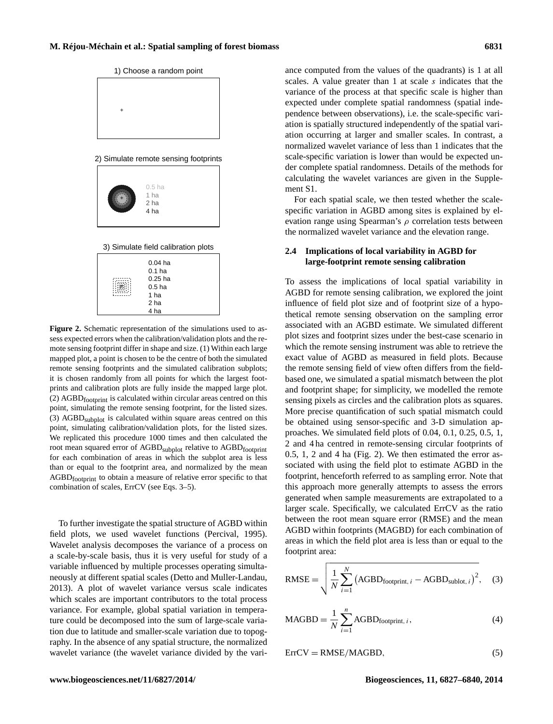

**Figure 2.** Schematic representation of the simulations used to assess expected errors when the calibration/validation plots and the remote sensing footprint differ in shape and size. (1) Within each large mapped plot, a point is chosen to be the centre of both the simulated remote sensing footprints and the simulated calibration subplots; it is chosen randomly from all points for which the largest footprints and calibration plots are fully inside the mapped large plot. (2)  $AGBD$ <sub>footprint</sub> is calculated within circular areas centred on this point, simulating the remote sensing footprint, for the listed sizes. (3)  $AGBD$ <sub>subplot</sub> is calculated within square areas centred on this point, simulating calibration/validation plots, for the listed sizes. We replicated this procedure 1000 times and then calculated the root mean squared error of AGBD<sub>subplot</sub> relative to AGBD<sub>footprint</sub> for each combination of areas in which the subplot area is less than or equal to the footprint area, and normalized by the mean AGBDfootprint to obtain a measure of relative error specific to that combination of scales, ErrCV (see Eqs. 3–5).

To further investigate the spatial structure of AGBD within field plots, we used wavelet functions (Percival, 1995). Wavelet analysis decomposes the variance of a process on a scale-by-scale basis, thus it is very useful for study of a variable influenced by multiple processes operating simultaneously at different spatial scales (Detto and Muller-Landau, 2013). A plot of wavelet variance versus scale indicates which scales are important contributors to the total process variance. For example, global spatial variation in temperature could be decomposed into the sum of large-scale variation due to latitude and smaller-scale variation due to topography. In the absence of any spatial structure, the normalized wavelet variance (the wavelet variance divided by the variance computed from the values of the quadrants) is 1 at all scales. A value greater than  $1$  at scale  $s$  indicates that the variance of the process at that specific scale is higher than expected under complete spatial randomness (spatial independence between observations), i.e. the scale-specific variation is spatially structured independently of the spatial variation occurring at larger and smaller scales. In contrast, a normalized wavelet variance of less than 1 indicates that the scale-specific variation is lower than would be expected under complete spatial randomness. Details of the methods for calculating the wavelet variances are given in the Supplement S1.

For each spatial scale, we then tested whether the scalespecific variation in AGBD among sites is explained by elevation range using Spearman's  $\rho$  correlation tests between the normalized wavelet variance and the elevation range.

# **2.4 Implications of local variability in AGBD for large-footprint remote sensing calibration**

To assess the implications of local spatial variability in AGBD for remote sensing calibration, we explored the joint influence of field plot size and of footprint size of a hypothetical remote sensing observation on the sampling error associated with an AGBD estimate. We simulated different plot sizes and footprint sizes under the best-case scenario in which the remote sensing instrument was able to retrieve the exact value of AGBD as measured in field plots. Because the remote sensing field of view often differs from the fieldbased one, we simulated a spatial mismatch between the plot and footprint shape; for simplicity, we modelled the remote sensing pixels as circles and the calibration plots as squares. More precise quantification of such spatial mismatch could be obtained using sensor-specific and 3-D simulation approaches. We simulated field plots of 0.04, 0.1, 0.25, 0.5, 1, 2 and 4 ha centred in remote-sensing circular footprints of 0.5, 1, 2 and 4 ha (Fig. 2). We then estimated the error associated with using the field plot to estimate AGBD in the footprint, henceforth referred to as sampling error. Note that this approach more generally attempts to assess the errors generated when sample measurements are extrapolated to a larger scale. Specifically, we calculated ErrCV as the ratio between the root mean square error (RMSE) and the mean AGBD within footprints (MAGBD) for each combination of areas in which the field plot area is less than or equal to the footprint area:

$$
RMSE = \sqrt{\frac{1}{N} \sum_{i=1}^{N} (AGBD_{footprint, i} - AGBD_{sublot, i})^{2}},
$$
 (3)

$$
MAGBD = \frac{1}{N} \sum_{i=1}^{n} AGBD_{footprint, i},
$$
 (4)

$$
ErrCV = RMSE/MAGBD,
$$
\n(5)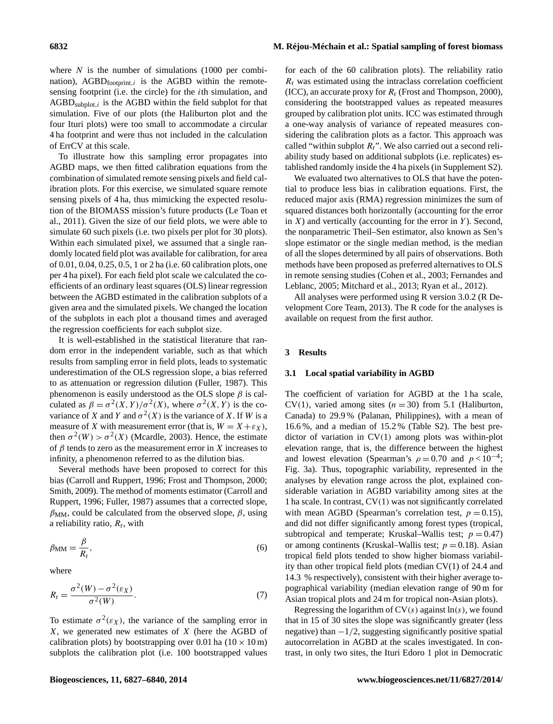where  $N$  is the number of simulations (1000 per combination),  $AGBD_{footprint,i}$  is the AGBD within the remotesensing footprint (i.e. the circle) for the ith simulation, and  $AGBD_{\text{subplot},i}$  is the AGBD within the field subplot for that simulation. Five of our plots (the Haliburton plot and the four Ituri plots) were too small to accommodate a circular 4 ha footprint and were thus not included in the calculation of ErrCV at this scale.

To illustrate how this sampling error propagates into AGBD maps, we then fitted calibration equations from the combination of simulated remote sensing pixels and field calibration plots. For this exercise, we simulated square remote sensing pixels of 4 ha, thus mimicking the expected resolution of the BIOMASS mission's future products (Le Toan et al., 2011). Given the size of our field plots, we were able to simulate 60 such pixels (i.e. two pixels per plot for 30 plots). Within each simulated pixel, we assumed that a single randomly located field plot was available for calibration, for area of 0.01, 0.04, 0.25, 0.5, 1 or 2 ha (i.e. 60 calibration plots, one per 4 ha pixel). For each field plot scale we calculated the coefficients of an ordinary least squares (OLS) linear regression between the AGBD estimated in the calibration subplots of a given area and the simulated pixels. We changed the location of the subplots in each plot a thousand times and averaged the regression coefficients for each subplot size.

It is well-established in the statistical literature that random error in the independent variable, such as that which results from sampling error in field plots, leads to systematic underestimation of the OLS regression slope, a bias referred to as attenuation or regression dilution (Fuller, 1987). This phenomenon is easily understood as the OLS slope  $\beta$  is calculated as  $\beta = \sigma^2(X, Y) / \sigma^2(X)$ , where  $\sigma^2(X, Y)$  is the covariance of X and Y and  $\sigma^2(X)$  is the variance of X. If W is a measure of X with measurement error (that is,  $W = X + \varepsilon_X$ ), then  $\sigma^2(W) > \sigma^2(X)$  (Mcardle, 2003). Hence, the estimate of  $\beta$  tends to zero as the measurement error in X increases to infinity, a phenomenon referred to as the dilution bias.

Several methods have been proposed to correct for this bias (Carroll and Ruppert, 1996; Frost and Thompson, 2000; Smith, 2009). The method of moments estimator (Carroll and Ruppert, 1996; Fuller, 1987) assumes that a corrected slope,  $\beta_{MM}$ , could be calculated from the observed slope,  $\beta$ , using a reliability ratio,  $R_r$ , with

$$
\beta_{\rm MM} = \frac{\beta}{R_{\rm r}},\tag{6}
$$

where

$$
R_{\rm r} = \frac{\sigma^2(W) - \sigma^2(\varepsilon_X)}{\sigma^2(W)}.
$$
\n(7)

To estimate  $\sigma^2(\varepsilon_X)$ , the variance of the sampling error in  $X$ , we generated new estimates of  $X$  (here the AGBD of calibration plots) by bootstrapping over 0.01 ha  $(10 \times 10 \text{ m})$ subplots the calibration plot (i.e. 100 bootstrapped values

for each of the 60 calibration plots). The reliability ratio  $R<sub>r</sub>$  was estimated using the intraclass correlation coefficient (ICC), an accurate proxy for  $R_r$  (Frost and Thompson, 2000), considering the bootstrapped values as repeated measures grouped by calibration plot units. ICC was estimated through a one-way analysis of variance of repeated measures considering the calibration plots as a factor. This approach was called "within subplot  $R_r$ ". We also carried out a second reliability study based on additional subplots (i.e. replicates) established randomly inside the 4 ha pixels (in Supplement S2).

We evaluated two alternatives to OLS that have the potential to produce less bias in calibration equations. First, the reduced major axis (RMA) regression minimizes the sum of squared distances both horizontally (accounting for the error in  $X$ ) and vertically (accounting for the error in  $Y$ ). Second, the nonparametric Theil–Sen estimator, also known as Sen's slope estimator or the single median method, is the median of all the slopes determined by all pairs of observations. Both methods have been proposed as preferred alternatives to OLS in remote sensing studies (Cohen et al., 2003; Fernandes and Leblanc, 2005; Mitchard et al., 2013; Ryan et al., 2012).

All analyses were performed using R version 3.0.2 (R Development Core Team, 2013). The R code for the analyses is available on request from the first author.

#### **3 Results**

#### **3.1 Local spatial variability in AGBD**

The coefficient of variation for AGBD at the 1 ha scale, CV(1), varied among sites ( $n = 30$ ) from 5.1 (Haliburton, Canada) to 29.9 % (Palanan, Philippines), with a mean of 16.6 %, and a median of 15.2 % (Table S2). The best predictor of variation in CV(1) among plots was within-plot elevation range, that is, the difference between the highest and lowest elevation (Spearman's  $\rho = 0.70$  and  $p < 10^{-4}$ ; Fig. 3a). Thus, topographic variability, represented in the analyses by elevation range across the plot, explained considerable variation in AGBD variability among sites at the 1 ha scale. In contrast, CV(1) was not significantly correlated with mean AGBD (Spearman's correlation test,  $p = 0.15$ ), and did not differ significantly among forest types (tropical, subtropical and temperate; Kruskal–Wallis test;  $p = 0.47$ ) or among continents (Kruskal–Wallis test;  $p = 0.18$ ). Asian tropical field plots tended to show higher biomass variability than other tropical field plots (median CV(1) of 24.4 and 14.3 % respectively), consistent with their higher average topographical variability (median elevation range of 90 m for Asian tropical plots and 24 m for tropical non-Asian plots).

Regressing the logarithm of  $CV(s)$  against  $ln(s)$ , we found that in 15 of 30 sites the slope was significantly greater (less negative) than  $-1/2$ , suggesting significantly positive spatial autocorrelation in AGBD at the scales investigated. In contrast, in only two sites, the Ituri Edoro 1 plot in Democratic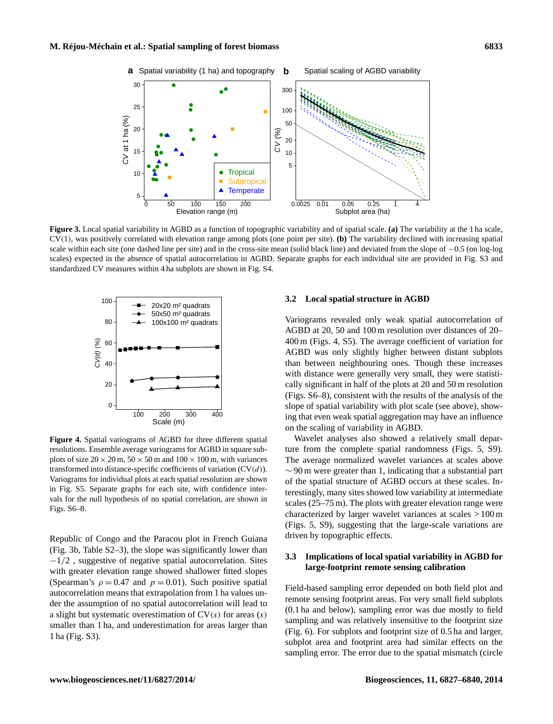

**Figure 3.** Local spatial variability in AGBD as a function of topographic variability and of spatial scale. **(a)** The variability at the 1 ha scale, CV(1), was positively correlated with elevation range among plots (one point per site). **(b)** The variability declined with increasing spatial scale within each site (one dashed line per site) and in the cross-site mean (solid black line) and deviated from the slope of  $-0.5$  (on log-log scales) expected in the absence of spatial autocorrelation in AGBD. Separate graphs for each individual site are provided in Fig. S3 and standardized CV measures within 4 ha subplots are shown in Fig. S4.



**Figure 4.** Spatial variograms of AGBD for three different spatial resolutions. Ensemble average variograms for AGBD in square subplots of size  $20 \times 20$  m,  $50 \times 50$  m and  $100 \times 100$  m, with variances transformed into distance-specific coefficients of variation  $(CV(d))$ . Variograms for individual plots at each spatial resolution are shown in Fig. S5. Separate graphs for each site, with confidence intervals for the null hypothesis of no spatial correlation, are shown in Figs. S6–8.

Republic of Congo and the Paracou plot in French Guiana (Fig. 3b, Table S2–3), the slope was significantly lower than −1/2 , suggestive of negative spatial autocorrelation. Sites with greater elevation range showed shallower fitted slopes (Spearman's  $\rho = 0.47$  and  $p = 0.01$ ). Such positive spatial autocorrelation means that extrapolation from 1 ha values under the assumption of no spatial autocorrelation will lead to a slight but systematic overestimation of  $CV(s)$  for areas  $(s)$ smaller than 1 ha, and underestimation for areas larger than 1 ha (Fig. S3).

#### **3.2 Local spatial structure in AGBD**

Variograms revealed only weak spatial autocorrelation of AGBD at 20, 50 and 100 m resolution over distances of 20– 400 m (Figs. 4, S5). The average coefficient of variation for AGBD was only slightly higher between distant subplots than between neighbouring ones. Though these increases with distance were generally very small, they were statistically significant in half of the plots at 20 and 50 m resolution (Figs. S6–8), consistent with the results of the analysis of the slope of spatial variability with plot scale (see above), showing that even weak spatial aggregation may have an influence on the scaling of variability in AGBD.

Wavelet analyses also showed a relatively small departure from the complete spatial randomness (Figs. 5, S9). The average normalized wavelet variances at scales above  $\sim$  90 m were greater than 1, indicating that a substantial part of the spatial structure of AGBD occurs at these scales. Interestingly, many sites showed low variability at intermediate scales (25–75 m). The plots with greater elevation range were characterized by larger wavelet variances at scales > 100 m (Figs. 5, S9), suggesting that the large-scale variations are driven by topographic effects.

## **3.3 Implications of local spatial variability in AGBD for large-footprint remote sensing calibration**

Field-based sampling error depended on both field plot and remote sensing footprint areas. For very small field subplots (0.1 ha and below), sampling error was due mostly to field sampling and was relatively insensitive to the footprint size (Fig. 6). For subplots and footprint size of 0.5 ha and larger, subplot area and footprint area had similar effects on the sampling error. The error due to the spatial mismatch (circle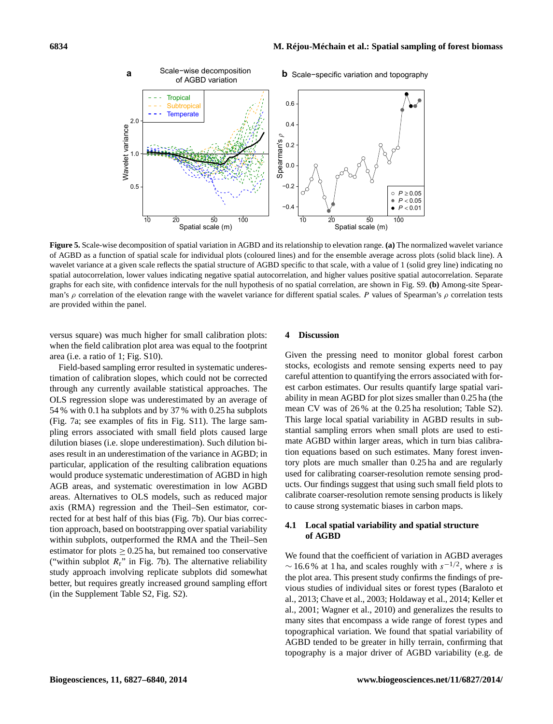

**Figure 5.** Scale-wise decomposition of spatial variation in AGBD and its relationship to elevation range. **(a)** The normalized wavelet variance of AGBD as a function of spatial scale for individual plots (coloured lines) and for the ensemble average across plots (solid black line). A wavelet variance at a given scale reflects the spatial structure of AGBD specific to that scale, with a value of 1 (solid grey line) indicating no spatial autocorrelation, lower values indicating negative spatial autocorrelation, and higher values positive spatial autocorrelation. Separate graphs for each site, with confidence intervals for the null hypothesis of no spatial correlation, are shown in Fig. S9. **(b)** Among-site Spearman's  $\rho$  correlation of the elevation range with the wavelet variance for different spatial scales. P values of Spearman's  $\rho$  correlation tests are provided within the panel.

versus square) was much higher for small calibration plots: when the field calibration plot area was equal to the footprint area (i.e. a ratio of 1; Fig. S10).

Field-based sampling error resulted in systematic underestimation of calibration slopes, which could not be corrected through any currently available statistical approaches. The OLS regression slope was underestimated by an average of 54 % with 0.1 ha subplots and by 37 % with 0.25 ha subplots (Fig. 7a; see examples of fits in Fig. S11). The large sampling errors associated with small field plots caused large dilution biases (i.e. slope underestimation). Such dilution biases result in an underestimation of the variance in AGBD; in particular, application of the resulting calibration equations would produce systematic underestimation of AGBD in high AGB areas, and systematic overestimation in low AGBD areas. Alternatives to OLS models, such as reduced major axis (RMA) regression and the Theil–Sen estimator, corrected for at best half of this bias (Fig. 7b). Our bias correction approach, based on bootstrapping over spatial variability within subplots, outperformed the RMA and the Theil–Sen estimator for plots  $\geq 0.25$  ha, but remained too conservative ("within subplot  $R_r$ " in Fig. 7b). The alternative reliability study approach involving replicate subplots did somewhat better, but requires greatly increased ground sampling effort (in the Supplement Table S2, Fig. S2).

#### **4 Discussion**

Given the pressing need to monitor global forest carbon stocks, ecologists and remote sensing experts need to pay careful attention to quantifying the errors associated with forest carbon estimates. Our results quantify large spatial variability in mean AGBD for plot sizes smaller than 0.25 ha (the mean CV was of 26 % at the 0.25 ha resolution; Table S2). This large local spatial variability in AGBD results in substantial sampling errors when small plots are used to estimate AGBD within larger areas, which in turn bias calibration equations based on such estimates. Many forest inventory plots are much smaller than 0.25 ha and are regularly used for calibrating coarser-resolution remote sensing products. Our findings suggest that using such small field plots to calibrate coarser-resolution remote sensing products is likely to cause strong systematic biases in carbon maps.

#### **4.1 Local spatial variability and spatial structure of AGBD**

We found that the coefficient of variation in AGBD averages  $\sim$  16.6% at 1 ha, and scales roughly with  $s^{-1/2}$ , where s is the plot area. This present study confirms the findings of previous studies of individual sites or forest types (Baraloto et al., 2013; Chave et al., 2003; Holdaway et al., 2014; Keller et al., 2001; Wagner et al., 2010) and generalizes the results to many sites that encompass a wide range of forest types and topographical variation. We found that spatial variability of AGBD tended to be greater in hilly terrain, confirming that topography is a major driver of AGBD variability (e.g. de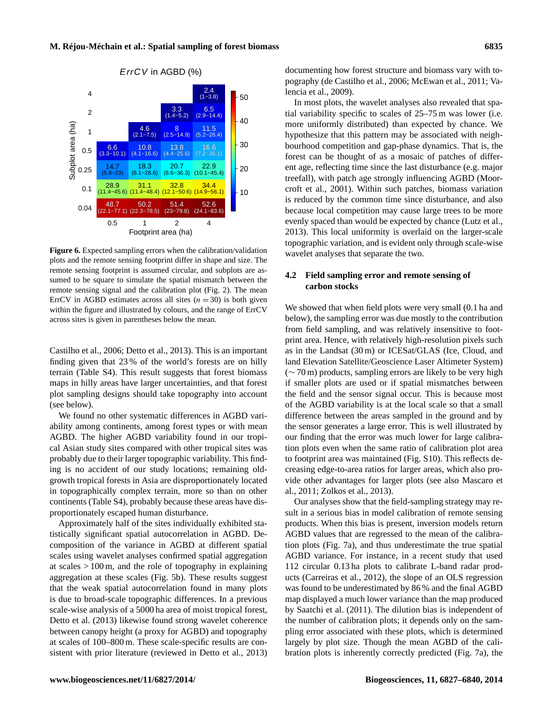

**Figure 6.** Expected sampling errors when the calibration/validation plots and the remote sensing footprint differ in shape and size. The remote sensing footprint is assumed circular, and subplots are assumed to be square to simulate the spatial mismatch between the remote sensing signal and the calibration plot (Fig. 2). The mean ErrCV in AGBD estimates across all sites  $(n = 30)$  is both given within the figure and illustrated by colours, and the range of ErrCV across sites is given in parentheses below the mean.

Castilho et al., 2006; Detto et al., 2013). This is an important finding given that 23 % of the world's forests are on hilly terrain (Table S4). This result suggests that forest biomass maps in hilly areas have larger uncertainties, and that forest plot sampling designs should take topography into account (see below).

We found no other systematic differences in AGBD variability among continents, among forest types or with mean AGBD. The higher AGBD variability found in our tropical Asian study sites compared with other tropical sites was probably due to their larger topographic variability. This finding is no accident of our study locations; remaining oldgrowth tropical forests in Asia are disproportionately located in topographically complex terrain, more so than on other continents (Table S4), probably because these areas have disproportionately escaped human disturbance.

Approximately half of the sites individually exhibited statistically significant spatial autocorrelation in AGBD. Decomposition of the variance in AGBD at different spatial scales using wavelet analyses confirmed spatial aggregation at scales  $> 100 \,\mathrm{m}$ , and the role of topography in explaining aggregation at these scales (Fig. 5b). These results suggest that the weak spatial autocorrelation found in many plots is due to broad-scale topographic differences. In a previous scale-wise analysis of a 5000 ha area of moist tropical forest, Detto et al. (2013) likewise found strong wavelet coherence between canopy height (a proxy for AGBD) and topography at scales of 100–800 m. These scale-specific results are consistent with prior literature (reviewed in Detto et al., 2013) documenting how forest structure and biomass vary with topography (de Castilho et al., 2006; McEwan et al., 2011; Valencia et al., 2009).

In most plots, the wavelet analyses also revealed that spatial variability specific to scales of 25–75 m was lower (i.e. more uniformly distributed) than expected by chance. We hypothesize that this pattern may be associated with neighbourhood competition and gap-phase dynamics. That is, the forest can be thought of as a mosaic of patches of different age, reflecting time since the last disturbance (e.g. major treefall), with patch age strongly influencing AGBD (Moorcroft et al., 2001). Within such patches, biomass variation is reduced by the common time since disturbance, and also because local competition may cause large trees to be more evenly spaced than would be expected by chance (Lutz et al., 2013). This local uniformity is overlaid on the larger-scale topographic variation, and is evident only through scale-wise wavelet analyses that separate the two.

# **4.2 Field sampling error and remote sensing of carbon stocks**

We showed that when field plots were very small (0.1 ha and below), the sampling error was due mostly to the contribution from field sampling, and was relatively insensitive to footprint area. Hence, with relatively high-resolution pixels such as in the Landsat (30 m) or ICESat/GLAS (Ice, Cloud, and land Elevation Satellite/Geoscience Laser Altimeter System) (∼ 70 m) products, sampling errors are likely to be very high if smaller plots are used or if spatial mismatches between the field and the sensor signal occur. This is because most of the AGBD variability is at the local scale so that a small difference between the areas sampled in the ground and by the sensor generates a large error. This is well illustrated by our finding that the error was much lower for large calibration plots even when the same ratio of calibration plot area to footprint area was maintained (Fig. S10). This reflects decreasing edge-to-area ratios for larger areas, which also provide other advantages for larger plots (see also Mascaro et al., 2011; Zolkos et al., 2013).

Our analyses show that the field-sampling strategy may result in a serious bias in model calibration of remote sensing products. When this bias is present, inversion models return AGBD values that are regressed to the mean of the calibration plots (Fig. 7a), and thus underestimate the true spatial AGBD variance. For instance, in a recent study that used 112 circular 0.13 ha plots to calibrate L-band radar products (Carreiras et al., 2012), the slope of an OLS regression was found to be underestimated by 86 % and the final AGBD map displayed a much lower variance than the map produced by Saatchi et al. (2011). The dilution bias is independent of the number of calibration plots; it depends only on the sampling error associated with these plots, which is determined largely by plot size. Though the mean AGBD of the calibration plots is inherently correctly predicted (Fig. 7a), the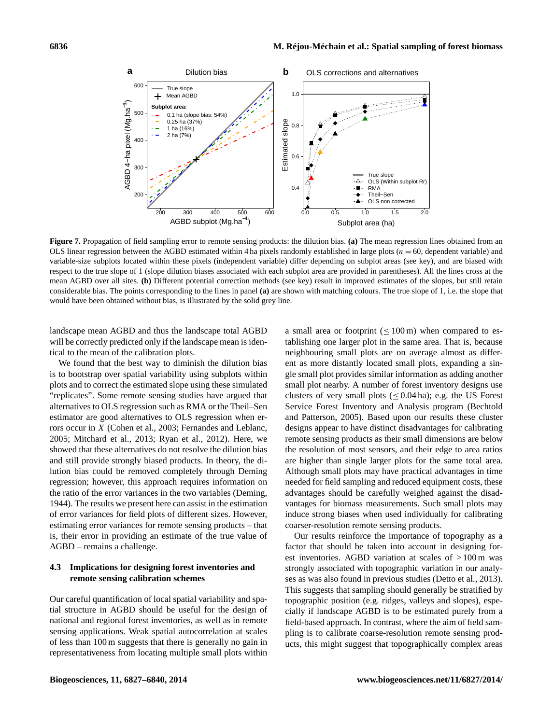

**Figure 7.** Propagation of field sampling error to remote sensing products: the dilution bias. **(a)** The mean regression lines obtained from an OLS linear regression between the AGBD estimated within 4 ha pixels randomly established in large plots  $(n = 60$ , dependent variable) and variable-size subplots located within these pixels (independent variable) differ depending on subplot areas (see key), and are biased with respect to the true slope of 1 (slope dilution biases associated with each subplot area are provided in parentheses). All the lines cross at the mean AGBD over all sites. **(b)** Different potential correction methods (see key) result in improved estimates of the slopes, but still retain considerable bias. The points corresponding to the lines in panel **(a)** are shown with matching colours. The true slope of 1, i.e. the slope that would have been obtained without bias, is illustrated by the solid grey line.

landscape mean AGBD and thus the landscape total AGBD will be correctly predicted only if the landscape mean is identical to the mean of the calibration plots.

We found that the best way to diminish the dilution bias is to bootstrap over spatial variability using subplots within plots and to correct the estimated slope using these simulated "replicates". Some remote sensing studies have argued that alternatives to OLS regression such as RMA or the Theil–Sen estimator are good alternatives to OLS regression when errors occur in X (Cohen et al., 2003; Fernandes and Leblanc, 2005; Mitchard et al., 2013; Ryan et al., 2012). Here, we showed that these alternatives do not resolve the dilution bias and still provide strongly biased products. In theory, the dilution bias could be removed completely through Deming regression; however, this approach requires information on the ratio of the error variances in the two variables (Deming, 1944). The results we present here can assist in the estimation of error variances for field plots of different sizes. However, estimating error variances for remote sensing products – that is, their error in providing an estimate of the true value of AGBD – remains a challenge.

## **4.3 Implications for designing forest inventories and remote sensing calibration schemes**

Our careful quantification of local spatial variability and spatial structure in AGBD should be useful for the design of national and regional forest inventories, as well as in remote sensing applications. Weak spatial autocorrelation at scales of less than 100 m suggests that there is generally no gain in representativeness from locating multiple small plots within

a small area or footprint  $(\leq 100 \,\text{m})$  when compared to establishing one larger plot in the same area. That is, because neighbouring small plots are on average almost as different as more distantly located small plots, expanding a single small plot provides similar information as adding another small plot nearby. A number of forest inventory designs use clusters of very small plots ( $\leq 0.04$  ha); e.g. the US Forest Service Forest Inventory and Analysis program (Bechtold and Patterson, 2005). Based upon our results these cluster designs appear to have distinct disadvantages for calibrating remote sensing products as their small dimensions are below the resolution of most sensors, and their edge to area ratios are higher than single larger plots for the same total area. Although small plots may have practical advantages in time needed for field sampling and reduced equipment costs, these advantages should be carefully weighed against the disadvantages for biomass measurements. Such small plots may induce strong biases when used individually for calibrating coarser-resolution remote sensing products.

Our results reinforce the importance of topography as a factor that should be taken into account in designing forest inventories. AGBD variation at scales of > 100 m was strongly associated with topographic variation in our analyses as was also found in previous studies (Detto et al., 2013). This suggests that sampling should generally be stratified by topographic position (e.g. ridges, valleys and slopes), especially if landscape AGBD is to be estimated purely from a field-based approach. In contrast, where the aim of field sampling is to calibrate coarse-resolution remote sensing products, this might suggest that topographically complex areas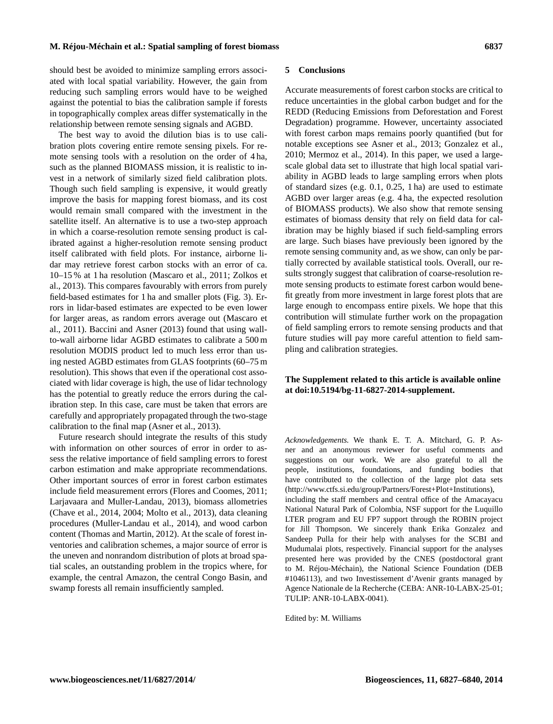should best be avoided to minimize sampling errors associated with local spatial variability. However, the gain from reducing such sampling errors would have to be weighed against the potential to bias the calibration sample if forests in topographically complex areas differ systematically in the relationship between remote sensing signals and AGBD.

The best way to avoid the dilution bias is to use calibration plots covering entire remote sensing pixels. For remote sensing tools with a resolution on the order of 4 ha, such as the planned BIOMASS mission, it is realistic to invest in a network of similarly sized field calibration plots. Though such field sampling is expensive, it would greatly improve the basis for mapping forest biomass, and its cost would remain small compared with the investment in the satellite itself. An alternative is to use a two-step approach in which a coarse-resolution remote sensing product is calibrated against a higher-resolution remote sensing product itself calibrated with field plots. For instance, airborne lidar may retrieve forest carbon stocks with an error of ca. 10–15 % at 1 ha resolution (Mascaro et al., 2011; Zolkos et al., 2013). This compares favourably with errors from purely field-based estimates for 1 ha and smaller plots (Fig. 3). Errors in lidar-based estimates are expected to be even lower for larger areas, as random errors average out (Mascaro et al., 2011). Baccini and Asner (2013) found that using wallto-wall airborne lidar AGBD estimates to calibrate a 500 m resolution MODIS product led to much less error than using nested AGBD estimates from GLAS footprints (60–75 m resolution). This shows that even if the operational cost associated with lidar coverage is high, the use of lidar technology has the potential to greatly reduce the errors during the calibration step. In this case, care must be taken that errors are carefully and appropriately propagated through the two-stage calibration to the final map (Asner et al., 2013).

Future research should integrate the results of this study with information on other sources of error in order to assess the relative importance of field sampling errors to forest carbon estimation and make appropriate recommendations. Other important sources of error in forest carbon estimates include field measurement errors (Flores and Coomes, 2011; Larjavaara and Muller-Landau, 2013), biomass allometries (Chave et al., 2014, 2004; Molto et al., 2013), data cleaning procedures (Muller-Landau et al., 2014), and wood carbon content (Thomas and Martin, 2012). At the scale of forest inventories and calibration schemes, a major source of error is the uneven and nonrandom distribution of plots at broad spatial scales, an outstanding problem in the tropics where, for example, the central Amazon, the central Congo Basin, and swamp forests all remain insufficiently sampled.

#### **5 Conclusions**

Accurate measurements of forest carbon stocks are critical to reduce uncertainties in the global carbon budget and for the REDD (Reducing Emissions from Deforestation and Forest Degradation) programme. However, uncertainty associated with forest carbon maps remains poorly quantified (but for notable exceptions see Asner et al., 2013; Gonzalez et al., 2010; Mermoz et al., 2014). In this paper, we used a largescale global data set to illustrate that high local spatial variability in AGBD leads to large sampling errors when plots of standard sizes (e.g. 0.1, 0.25, 1 ha) are used to estimate AGBD over larger areas (e.g. 4 ha, the expected resolution of BIOMASS products). We also show that remote sensing estimates of biomass density that rely on field data for calibration may be highly biased if such field-sampling errors are large. Such biases have previously been ignored by the remote sensing community and, as we show, can only be partially corrected by available statistical tools. Overall, our results strongly suggest that calibration of coarse-resolution remote sensing products to estimate forest carbon would benefit greatly from more investment in large forest plots that are large enough to encompass entire pixels. We hope that this contribution will stimulate further work on the propagation of field sampling errors to remote sensing products and that future studies will pay more careful attention to field sampling and calibration strategies.

### **The Supplement related to this article is available online at [doi:10.5194/bg-11-6827-2014-supplement.](http://dx.doi.org/10.5194/bg-11-6827-2014-supplement)**

*Acknowledgements.* We thank E. T. A. Mitchard, G. P. Asner and an anonymous reviewer for useful comments and suggestions on our work. We are also grateful to all the people, institutions, foundations, and funding bodies that have contributed to the collection of the large plot data sets [\(http://www.ctfs.si.edu/group/Partners/Forest+Plot+Institutions\)](http://www.ctfs.si.edu/group/Partners/Forest+Plot+Institutions), including the staff members and central office of the Amacayacu National Natural Park of Colombia, NSF support for the Luquillo LTER program and EU FP7 support through the ROBIN project for Jill Thompson. We sincerely thank Erika Gonzalez and Sandeep Pulla for their help with analyses for the SCBI and Mudumalai plots, respectively. Financial support for the analyses presented here was provided by the CNES (postdoctoral grant to M. Réjou-Méchain), the National Science Foundation (DEB #1046113), and two Investissement d'Avenir grants managed by Agence Nationale de la Recherche (CEBA: ANR-10-LABX-25-01; TULIP: ANR-10-LABX-0041).

Edited by: M. Williams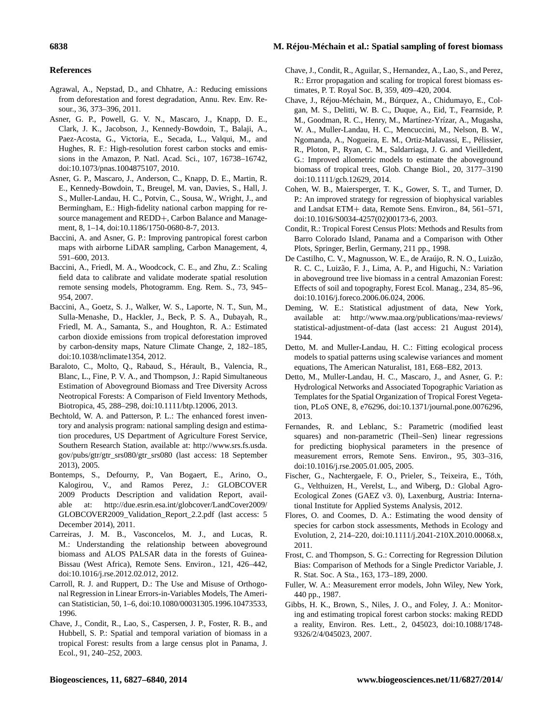#### **6838 M. Réjou-Méchain et al.: Spatial sampling of forest biomass**

# **References**

- Agrawal, A., Nepstad, D., and Chhatre, A.: Reducing emissions from deforestation and forest degradation, Annu. Rev. Env. Resour., 36, 373–396, 2011.
- Asner, G. P., Powell, G. V. N., Mascaro, J., Knapp, D. E., Clark, J. K., Jacobson, J., Kennedy-Bowdoin, T., Balaji, A., Paez-Acosta, G., Victoria, E., Secada, L., Valqui, M., and Hughes, R. F.: High-resolution forest carbon stocks and emissions in the Amazon, P. Natl. Acad. Sci., 107, 16738–16742, doi[:10.1073/pnas.1004875107,](http://dx.doi.org/10.1073/pnas.1004875107) 2010.
- Asner, G. P., Mascaro, J., Anderson, C., Knapp, D. E., Martin, R. E., Kennedy-Bowdoin, T., Breugel, M. van, Davies, S., Hall, J. S., Muller-Landau, H. C., Potvin, C., Sousa, W., Wright, J., and Bermingham, E.: High-fidelity national carbon mapping for resource management and REDD+, Carbon Balance and Management, 8, 1–14, doi[:10.1186/1750-0680-8-7,](http://dx.doi.org/10.1186/1750-0680-8-7) 2013.
- Baccini, A. and Asner, G. P.: Improving pantropical forest carbon maps with airborne LiDAR sampling, Carbon Management, 4, 591–600, 2013.
- Baccini, A., Friedl, M. A., Woodcock, C. E., and Zhu, Z.: Scaling field data to calibrate and validate moderate spatial resolution remote sensing models, Photogramm. Eng. Rem. S., 73, 945– 954, 2007.
- Baccini, A., Goetz, S. J., Walker, W. S., Laporte, N. T., Sun, M., Sulla-Menashe, D., Hackler, J., Beck, P. S. A., Dubayah, R., Friedl, M. A., Samanta, S., and Houghton, R. A.: Estimated carbon dioxide emissions from tropical deforestation improved by carbon-density maps, Nature Climate Change, 2, 182–185, doi[:10.1038/nclimate1354,](http://dx.doi.org/10.1038/nclimate1354) 2012.
- Baraloto, C., Molto, Q., Rabaud, S., Hérault, B., Valencia, R., Blanc, L., Fine, P. V. A., and Thompson, J.: Rapid Simultaneous Estimation of Aboveground Biomass and Tree Diversity Across Neotropical Forests: A Comparison of Field Inventory Methods, Biotropica, 45, 288–298, doi[:10.1111/btp.12006,](http://dx.doi.org/10.1111/btp.12006) 2013.
- Bechtold, W. A. and Patterson, P. L.: The enhanced forest inventory and analysis program: national sampling design and estimation procedures, US Department of Agriculture Forest Service, Southern Research Station, available at: [http://www.srs.fs.usda.](http://www.srs.fs.usda.gov/pubs/gtr/gtr_srs080/gtr_srs080) [gov/pubs/gtr/gtr\\_srs080/gtr\\_srs080](http://www.srs.fs.usda.gov/pubs/gtr/gtr_srs080/gtr_srs080) (last access: 18 September 2013), 2005.
- Bontemps, S., Defourny, P., Van Bogaert, E., Arino, O., Kalogirou, V., and Ramos Perez, J.: GLOBCOVER 2009 Products Description and validation Report, available at: [http://due.esrin.esa.int/globcover/LandCover2009/](http://due.esrin.esa.int/globcover/LandCover2009/GLOBCOVER2009_Validation_Report_2.2.pdf) [GLOBCOVER2009\\_Validation\\_Report\\_2.2.pdf](http://due.esrin.esa.int/globcover/LandCover2009/GLOBCOVER2009_Validation_Report_2.2.pdf) (last access: 5 December 2014), 2011.
- Carreiras, J. M. B., Vasconcelos, M. J., and Lucas, R. M.: Understanding the relationship between aboveground biomass and ALOS PALSAR data in the forests of Guinea-Bissau (West Africa), Remote Sens. Environ., 121, 426–442, doi[:10.1016/j.rse.2012.02.012,](http://dx.doi.org/10.1016/j.rse.2012.02.012) 2012.
- Carroll, R. J. and Ruppert, D.: The Use and Misuse of Orthogonal Regression in Linear Errors-in-Variables Models, The American Statistician, 50, 1–6, doi[:10.1080/00031305.1996.10473533,](http://dx.doi.org/10.1080/00031305.1996.10473533) 1996.
- Chave, J., Condit, R., Lao, S., Caspersen, J. P., Foster, R. B., and Hubbell, S. P.: Spatial and temporal variation of biomass in a tropical Forest: results from a large census plot in Panama, J. Ecol., 91, 240–252, 2003.
- Chave, J., Condit, R., Aguilar, S., Hernandez, A., Lao, S., and Perez, R.: Error propagation and scaling for tropical forest biomass estimates, P. T. Royal Soc. B, 359, 409–420, 2004.
- Chave, J., Réjou-Méchain, M., Búrquez, A., Chidumayo, E., Colgan, M. S., Delitti, W. B. C., Duque, A., Eid, T., Fearnside, P. M., Goodman, R. C., Henry, M., Martínez-Yrízar, A., Mugasha, W. A., Muller-Landau, H. C., Mencuccini, M., Nelson, B. W., Ngomanda, A., Nogueira, E. M., Ortiz-Malavassi, E., Pélissier, R., Ploton, P., Ryan, C. M., Saldarriaga, J. G. and Vieilledent, G.: Improved allometric models to estimate the aboveground biomass of tropical trees, Glob. Change Biol., 20, 3177–3190 doi[:10.1111/gcb.12629,](http://dx.doi.org/10.1111/gcb.12629) 2014.
- Cohen, W. B., Maiersperger, T. K., Gower, S. T., and Turner, D. P.: An improved strategy for regression of biophysical variables and Landsat ETM+ data, Remote Sens. Environ., 84, 561–571, doi[:10.1016/S0034-4257\(02\)00173-6,](http://dx.doi.org/10.1016/S0034-4257(02)00173-6) 2003.
- Condit, R.: Tropical Forest Census Plots: Methods and Results from Barro Colorado Island, Panama and a Comparison with Other Plots, Springer, Berlin, Germany, 211 pp., 1998.
- De Castilho, C. V., Magnusson, W. E., de Araújo, R. N. O., Luizão, R. C. C., Luizão, F. J., Lima, A. P., and Higuchi, N.: Variation in aboveground tree live biomass in a central Amazonian Forest: Effects of soil and topography, Forest Ecol. Manag., 234, 85–96, doi[:10.1016/j.foreco.2006.06.024,](http://dx.doi.org/10.1016/j.foreco.2006.06.024) 2006.
- Deming, W. E.: Statistical adjustment of data, New York, available at: [http://www.maa.org/publications/maa-reviews/](http://www.maa.org/publications/maa-reviews/statistical-adjustment-of-data) [statistical-adjustment-of-data](http://www.maa.org/publications/maa-reviews/statistical-adjustment-of-data) (last access: 21 August 2014), 1944.
- Detto, M. and Muller-Landau, H. C.: Fitting ecological process models to spatial patterns using scalewise variances and moment equations, The American Naturalist, 181, E68–E82, 2013.
- Detto, M., Muller-Landau, H. C., Mascaro, J., and Asner, G. P.: Hydrological Networks and Associated Topographic Variation as Templates for the Spatial Organization of Tropical Forest Vegetation, PLoS ONE, 8, e76296, doi[:10.1371/journal.pone.0076296,](http://dx.doi.org/10.1371/journal.pone.0076296) 2013.
- Fernandes, R. and Leblanc, S.: Parametric (modified least squares) and non-parametric (Theil–Sen) linear regressions for predicting biophysical parameters in the presence of measurement errors, Remote Sens. Environ., 95, 303–316, doi[:10.1016/j.rse.2005.01.005,](http://dx.doi.org/10.1016/j.rse.2005.01.005) 2005.
- Fischer, G., Nachtergaele, F. O., Prieler, S., Teixeira, E., Tóth, G., Velthuizen, H., Verelst, L., and Wiberg, D.: Global Agro-Ecological Zones (GAEZ v3. 0), Laxenburg, Austria: International Institute for Applied Systems Analysis, 2012.
- Flores, O. and Coomes, D. A.: Estimating the wood density of species for carbon stock assessments, Methods in Ecology and Evolution, 2, 214–220, doi[:10.1111/j.2041-210X.2010.00068.x,](http://dx.doi.org/10.1111/j.2041-210X.2010.00068.x) 2011.
- Frost, C. and Thompson, S. G.: Correcting for Regression Dilution Bias: Comparison of Methods for a Single Predictor Variable, J. R. Stat. Soc. A Sta., 163, 173–189, 2000.
- Fuller, W. A.: Measurement error models, John Wiley, New York, 440 pp., 1987.
- Gibbs, H. K., Brown, S., Niles, J. O., and Foley, J. A.: Monitoring and estimating tropical forest carbon stocks: making REDD a reality, Environ. Res. Lett., 2, 045023, doi[:10.1088/1748-](http://dx.doi.org/10.1088/1748-9326/2/4/045023) [9326/2/4/045023,](http://dx.doi.org/10.1088/1748-9326/2/4/045023) 2007.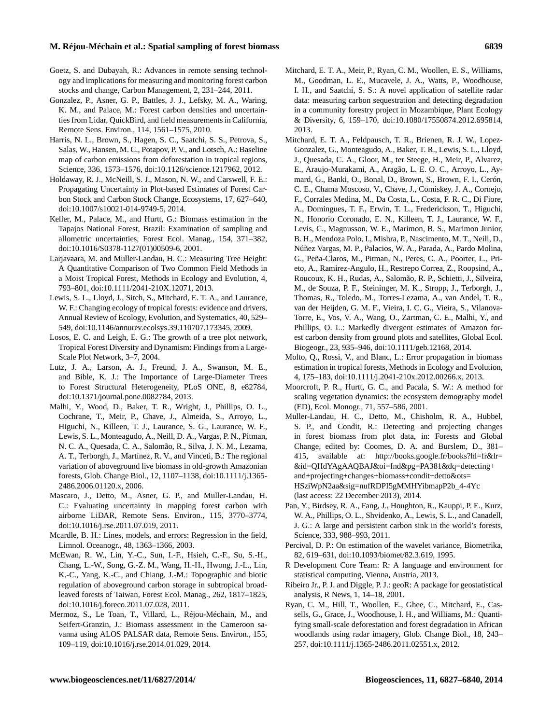#### **M. Réjou-Méchain et al.: Spatial sampling of forest biomass 6839**

- Goetz, S. and Dubayah, R.: Advances in remote sensing technology and implications for measuring and monitoring forest carbon stocks and change, Carbon Management, 2, 231–244, 2011.
- Gonzalez, P., Asner, G. P., Battles, J. J., Lefsky, M. A., Waring, K. M., and Palace, M.: Forest carbon densities and uncertainties from Lidar, QuickBird, and field measurements in California, Remote Sens. Environ., 114, 1561–1575, 2010.
- Harris, N. L., Brown, S., Hagen, S. C., Saatchi, S. S., Petrova, S., Salas, W., Hansen, M. C., Potapov, P. V., and Lotsch, A.: Baseline map of carbon emissions from deforestation in tropical regions, Science, 336, 1573–1576, doi[:10.1126/science.1217962,](http://dx.doi.org/10.1126/science.1217962) 2012.
- Holdaway, R. J., McNeill, S. J., Mason, N. W., and Carswell, F. E.: Propagating Uncertainty in Plot-based Estimates of Forest Carbon Stock and Carbon Stock Change, Ecosystems, 17, 627–640, doi[:10.1007/s10021-014-9749-5,](http://dx.doi.org/10.1007/s10021-014-9749-5) 2014.
- Keller, M., Palace, M., and Hurtt, G.: Biomass estimation in the Tapajos National Forest, Brazil: Examination of sampling and allometric uncertainties, Forest Ecol. Manag., 154, 371–382, doi[:10.1016/S0378-1127\(01\)00509-6,](http://dx.doi.org/10.1016/S0378-1127(01)00509-6) 2001.
- Larjavaara, M. and Muller-Landau, H. C.: Measuring Tree Height: A Quantitative Comparison of Two Common Field Methods in a Moist Tropical Forest, Methods in Ecology and Evolution, 4, 793–801, doi[:10.1111/2041-210X.12071,](http://dx.doi.org/10.1111/2041-210X.12071) 2013.
- Lewis, S. L., Lloyd, J., Sitch, S., Mitchard, E. T. A., and Laurance, W. F.: Changing ecology of tropical forests: evidence and drivers, Annual Review of Ecology, Evolution, and Systematics, 40, 529– 549, doi[:10.1146/annurev.ecolsys.39.110707.173345,](http://dx.doi.org/10.1146/annurev.ecolsys.39.110707.173345) 2009.
- Losos, E. C. and Leigh, E. G.: The growth of a tree plot network, Tropical Forest Diversity and Dynamism: Findings from a Large-Scale Plot Network, 3–7, 2004.
- Lutz, J. A., Larson, A. J., Freund, J. A., Swanson, M. E., and Bible, K. J.: The Importance of Large-Diameter Trees to Forest Structural Heterogeneity, PLoS ONE, 8, e82784, doi[:10.1371/journal.pone.0082784,](http://dx.doi.org/10.1371/journal.pone.0082784) 2013.
- Malhi, Y., Wood, D., Baker, T. R., Wright, J., Phillips, O. L., Cochrane, T., Meir, P., Chave, J., Almeida, S., Arroyo, L., Higuchi, N., Killeen, T. J., Laurance, S. G., Laurance, W. F., Lewis, S. L., Monteagudo, A., Neill, D. A., Vargas, P. N., Pitman, N. C. A., Quesada, C. A., Salomão, R., Silva, J. N. M., Lezama, A. T., Terborgh, J., Martínez, R. V., and Vinceti, B.: The regional variation of aboveground live biomass in old-growth Amazonian forests, Glob. Change Biol., 12, 1107–1138, doi[:10.1111/j.1365-](http://dx.doi.org/10.1111/j.1365-2486.2006.01120.x) [2486.2006.01120.x,](http://dx.doi.org/10.1111/j.1365-2486.2006.01120.x) 2006.
- Mascaro, J., Detto, M., Asner, G. P., and Muller-Landau, H. C.: Evaluating uncertainty in mapping forest carbon with airborne LiDAR, Remote Sens. Environ., 115, 3770–3774, doi[:10.1016/j.rse.2011.07.019,](http://dx.doi.org/10.1016/j.rse.2011.07.019) 2011.
- Mcardle, B. H.: Lines, models, and errors: Regression in the field, Limnol. Oceanogr., 48, 1363–1366, 2003.
- McEwan, R. W., Lin, Y.-C., Sun, I.-F., Hsieh, C.-F., Su, S.-H., Chang, L.-W., Song, G.-Z. M., Wang, H.-H., Hwong, J.-L., Lin, K.-C., Yang, K.-C., and Chiang, J.-M.: Topographic and biotic regulation of aboveground carbon storage in subtropical broadleaved forests of Taiwan, Forest Ecol. Manag., 262, 1817–1825, doi[:10.1016/j.foreco.2011.07.028,](http://dx.doi.org/10.1016/j.foreco.2011.07.028) 2011.
- Mermoz, S., Le Toan, T., Villard, L., Réjou-Méchain, M., and Seifert-Granzin, J.: Biomass assessment in the Cameroon savanna using ALOS PALSAR data, Remote Sens. Environ., 155, 109–119, doi[:10.1016/j.rse.2014.01.029,](http://dx.doi.org/10.1016/j.rse.2014.01.029) 2014.
- Mitchard, E. T. A., Meir, P., Ryan, C. M., Woollen, E. S., Williams, M., Goodman, L. E., Mucavele, J. A., Watts, P., Woodhouse, I. H., and Saatchi, S. S.: A novel application of satellite radar data: measuring carbon sequestration and detecting degradation in a community forestry project in Mozambique, Plant Ecology & Diversity, 6, 159–170, doi[:10.1080/17550874.2012.695814,](http://dx.doi.org/10.1080/17550874.2012.695814) 2013.
- Mitchard, E. T. A., Feldpausch, T. R., Brienen, R. J. W., Lopez-Gonzalez, G., Monteagudo, A., Baker, T. R., Lewis, S. L., Lloyd, J., Quesada, C. A., Gloor, M., ter Steege, H., Meir, P., Alvarez, E., Araujo-Murakami, A., Aragão, L. E. O. C., Arroyo, L., Aymard, G., Banki, O., Bonal, D., Brown, S., Brown, F. I., Cerón, C. E., Chama Moscoso, V., Chave, J., Comiskey, J. A., Cornejo, F., Corrales Medina, M., Da Costa, L., Costa, F. R. C., Di Fiore, A., Domingues, T. F., Erwin, T. L., Frederickson, T., Higuchi, N., Honorio Coronado, E. N., Killeen, T. J., Laurance, W. F., Levis, C., Magnusson, W. E., Marimon, B. S., Marimon Junior, B. H., Mendoza Polo, I., Mishra, P., Nascimento, M. T., Neill, D., Núñez Vargas, M. P., Palacios, W. A., Parada, A., Pardo Molina, G., Peña-Claros, M., Pitman, N., Peres, C. A., Poorter, L., Prieto, A., Ramirez-Angulo, H., Restrepo Correa, Z., Roopsind, A., Roucoux, K. H., Rudas, A., Salomão, R. P., Schietti, J., Silveira, M., de Souza, P. F., Steininger, M. K., Stropp, J., Terborgh, J., Thomas, R., Toledo, M., Torres-Lezama, A., van Andel, T. R., van der Heijden, G. M. F., Vieira, I. C. G., Vieira, S., Vilanova-Torre, E., Vos, V. A., Wang, O., Zartman, C. E., Malhi, Y., and Phillips, O. L.: Markedly divergent estimates of Amazon forest carbon density from ground plots and satellites, Global Ecol. Biogeogr., 23, 935–946, doi[:10.1111/geb.12168,](http://dx.doi.org/10.1111/geb.12168) 2014.
- Molto, Q., Rossi, V., and Blanc, L.: Error propagation in biomass estimation in tropical forests, Methods in Ecology and Evolution, 4, 175–183, doi[:10.1111/j.2041-210x.2012.00266.x,](http://dx.doi.org/10.1111/j.2041-210x.2012.00266.x) 2013.
- Moorcroft, P. R., Hurtt, G. C., and Pacala, S. W.: A method for scaling vegetation dynamics: the ecosystem demography model (ED), Ecol. Monogr., 71, 557–586, 2001.
- Muller-Landau, H. C., Detto, M., Chisholm, R. A., Hubbel, S. P., and Condit, R.: Detecting and projecting changes in forest biomass from plot data, in: Forests and Global Change, edited by: Coomes, D. A. and Burslem, D., 381– 415, available at: [http://books.google.fr/books?hl=fr&lr=](http://books.google.fr/books?hl=fr&lr=&id=QHdYAgAAQBAJ&oi=fnd&pg=PA381&dq=detecting+and+projecting+changes+biomass+condit+detto&ots=HSziWpN2aa&sig=nufRDPI5gMMHYibmapP2b_4-4Yc) [&id=QHdYAgAAQBAJ&oi=fnd&pg=PA381&dq=detecting+](http://books.google.fr/books?hl=fr&lr=&id=QHdYAgAAQBAJ&oi=fnd&pg=PA381&dq=detecting+and+projecting+changes+biomass+condit+detto&ots=HSziWpN2aa&sig=nufRDPI5gMMHYibmapP2b_4-4Yc) [and+projecting+changes+biomass+condit+detto&ots=](http://books.google.fr/books?hl=fr&lr=&id=QHdYAgAAQBAJ&oi=fnd&pg=PA381&dq=detecting+and+projecting+changes+biomass+condit+detto&ots=HSziWpN2aa&sig=nufRDPI5gMMHYibmapP2b_4-4Yc) [HSziWpN2aa&sig=nufRDPI5gMMHYibmapP2b\\_4-4Yc](http://books.google.fr/books?hl=fr&lr=&id=QHdYAgAAQBAJ&oi=fnd&pg=PA381&dq=detecting+and+projecting+changes+biomass+condit+detto&ots=HSziWpN2aa&sig=nufRDPI5gMMHYibmapP2b_4-4Yc) (last access: 22 December 2013), 2014.
- Pan, Y., Birdsey, R. A., Fang, J., Houghton, R., Kauppi, P. E., Kurz, W. A., Phillips, O. L., Shvidenko, A., Lewis, S. L., and Canadell, J. G.: A large and persistent carbon sink in the world's forests, Science, 333, 988–993, 2011.
- Percival, D. P.: On estimation of the wavelet variance, Biometrika, 82, 619–631, doi[:10.1093/biomet/82.3.619,](http://dx.doi.org/10.1093/biomet/82.3.619) 1995.
- R Development Core Team: R: A language and environment for statistical computing, Vienna, Austria, 2013.
- Ribeiro Jr., P. J. and Diggle, P. J.: geoR: A package for geostatistical analysis, R News, 1, 14–18, 2001.
- Ryan, C. M., Hill, T., Woollen, E., Ghee, C., Mitchard, E., Cassells, G., Grace, J., Woodhouse, I. H., and Williams, M.: Quantifying small-scale deforestation and forest degradation in African woodlands using radar imagery, Glob. Change Biol., 18, 243– 257, doi[:10.1111/j.1365-2486.2011.02551.x,](http://dx.doi.org/10.1111/j.1365-2486.2011.02551.x) 2012.